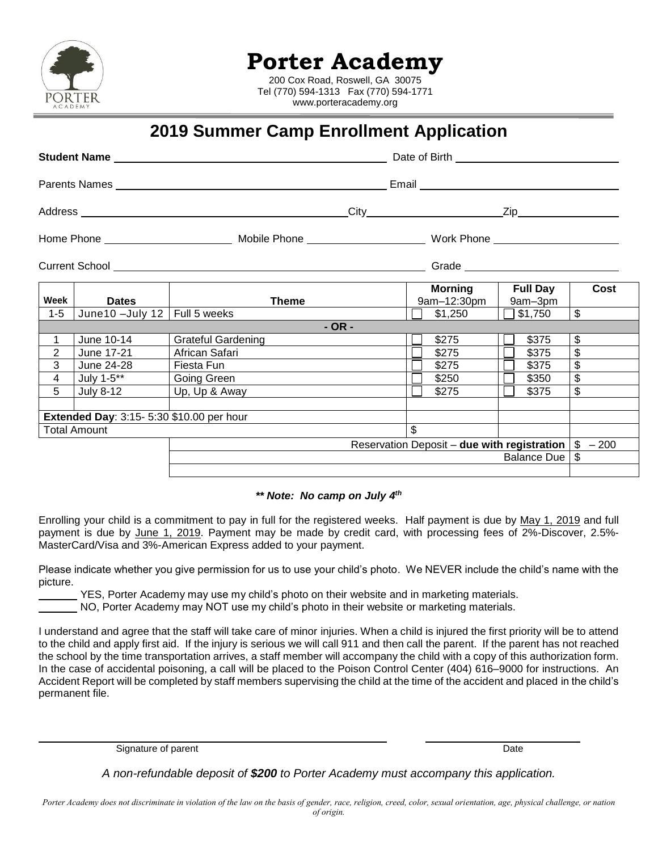

## **Porter Academy**

200 Cox Road, Roswell, GA 30075 Tel (770) 594-1313 Fax (770) 594-1771 www.porteracademy.org

## **2019 Summer Camp Enrollment Application**

|                                                                 | Student Name                              |                           |                  | Date of Birth <b>Example 20</b> |                            |                         |  |
|-----------------------------------------------------------------|-------------------------------------------|---------------------------|------------------|---------------------------------|----------------------------|-------------------------|--|
|                                                                 |                                           |                           |                  |                                 |                            |                         |  |
|                                                                 |                                           |                           |                  |                                 |                            |                         |  |
|                                                                 |                                           |                           |                  |                                 |                            |                         |  |
|                                                                 |                                           |                           |                  |                                 |                            |                         |  |
| Week                                                            | <b>Dates</b>                              | Theme                     |                  | Morning<br>9am-12:30pm          | <b>Full Day</b><br>9am-3pm | Cost                    |  |
| $1 - 5$                                                         | June10 -July 12   Full 5 weeks            |                           |                  | \$1,250                         | \$1,750                    | $\overline{\mathbb{S}}$ |  |
|                                                                 |                                           |                           | $-OR -$          |                                 |                            |                         |  |
| $\mathbf{1}$                                                    | June 10-14                                | <b>Grateful Gardening</b> |                  | \$275                           | \$375                      | \$                      |  |
| $\overline{2}$                                                  | June 17-21                                | African Safari            |                  | \$275                           | \$375                      | \$                      |  |
| 3                                                               | June 24-28                                | Fiesta Fun                |                  | \$275                           | \$375                      | \$                      |  |
| 4                                                               | July 1-5**                                | Going Green               |                  | \$250                           | \$350                      | \$                      |  |
| 5                                                               | July 8-12                                 | Up, Up & Away             |                  | \$275                           | \$375                      | \$                      |  |
|                                                                 |                                           |                           |                  |                                 |                            |                         |  |
|                                                                 | Extended Day: 3:15- 5:30 \$10.00 per hour |                           |                  |                                 |                            |                         |  |
| Total Amount                                                    |                                           |                           |                  | \$.                             |                            |                         |  |
| Reservation Deposit – due with registration $\frac{1}{3}$ – 200 |                                           |                           |                  |                                 |                            |                         |  |
|                                                                 |                                           |                           | Balance Due   \$ |                                 |                            |                         |  |
|                                                                 |                                           |                           |                  |                                 |                            |                         |  |

## *\*\* Note: No camp on July 4 th*

Enrolling your child is a commitment to pay in full for the registered weeks. Half payment is due by May 1, 2019 and full payment is due by June 1, 2019. Payment may be made by credit card, with processing fees of 2%-Discover, 2.5%- MasterCard/Visa and 3%-American Express added to your payment.

Please indicate whether you give permission for us to use your child's photo. We NEVER include the child's name with the picture.

YES, Porter Academy may use my child's photo on their website and in marketing materials.

NO, Porter Academy may NOT use my child's photo in their website or marketing materials.

I understand and agree that the staff will take care of minor injuries. When a child is injured the first priority will be to attend to the child and apply first aid. If the injury is serious we will call 911 and then call the parent. If the parent has not reached the school by the time transportation arrives, a staff member will accompany the child with a copy of this authorization form. In the case of accidental poisoning, a call will be placed to the Poison Control Center (404) 616–9000 for instructions. An Accident Report will be completed by staff members supervising the child at the time of the accident and placed in the child's permanent file.

Signature of parent Date Controllers and Date Controllers and Date Date Controllers and Date Date Controllers and Date

*A non-refundable deposit of \$200 to Porter Academy must accompany this application.*